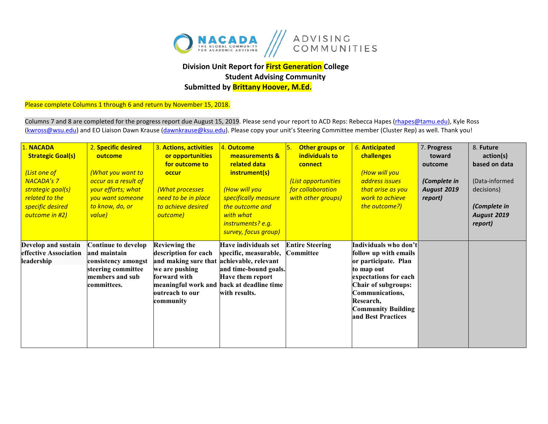

## **Division Unit Report for First Generation College Student Advising Community**

**Submitted by Brittany Hoover, M.Ed.**

Please complete Columns 1 through 6 and return by November 15, 2018.

Columns 7 and 8 are completed for the progress report due August 15, 2019. Please send your report to ACD Reps: Rebecca Hapes (rhapes@tamu.edu), Kyle Ross [\(kwross@wsu.edu\)](mailto:kwross@wsu.edu) and EO Liaison Dawn Krause (dawnkrause@ksu.edu). Please copy your unit's Steering Committee member (Cluster Rep) as well. Thank you!

| 1. NACADA<br><b>Strategic Goal(s)</b><br>(List one of<br><b>NACADA's 7</b><br>strategic goal(s)<br>related to the<br>specific desired<br>outcome in #2) | 2. Specific desired<br>outcome<br>(What you want to<br>occur as a result of<br>your efforts; what<br>you want someone<br>to know, do, or<br>value) | 3. Actions, activities<br>or opportunities<br>for outcome to<br>occur<br>(What processes<br>need to be in place<br>to achieve desired<br>outcome) | 4. Outcome<br>measurements &<br>related data<br>instrument(s)<br>(How will you<br>specifically measure<br>the outcome and<br>with what<br>instruments? e.g.<br>survey, focus group) | Other groups or<br>individuals to<br>connect<br>(List opportunities<br>for collaboration<br>with other groups) | 6. Anticipated<br>challenges<br>(How will you<br>address issues<br>that arise as you<br>work to achieve<br>the outcome?)                                                                                                       | 7. Progress<br>toward<br>outcome<br>(Complete in<br><b>August 2019</b><br>report) | 8. Future<br>action(s)<br>based on data<br>(Data-informed<br>decisions)<br>(Complete in<br><b>August 2019</b><br>report) |
|---------------------------------------------------------------------------------------------------------------------------------------------------------|----------------------------------------------------------------------------------------------------------------------------------------------------|---------------------------------------------------------------------------------------------------------------------------------------------------|-------------------------------------------------------------------------------------------------------------------------------------------------------------------------------------|----------------------------------------------------------------------------------------------------------------|--------------------------------------------------------------------------------------------------------------------------------------------------------------------------------------------------------------------------------|-----------------------------------------------------------------------------------|--------------------------------------------------------------------------------------------------------------------------|
| Develop and sustain<br>effective Association<br>leadership                                                                                              | Continue to develop<br>and maintain<br>consistency amongst<br>steering committee<br>members and sub<br>committees.                                 | <b>Reviewing the</b><br>description for each<br>and making sure that<br>we are pushing<br>forward with<br>outreach to our<br>community            | Have individuals set<br>specific, measurable,<br>achievable, relevant<br>and time-bound goals.<br>Have them report<br>meaningful work and back at deadline time<br>with results.    | <b>Entire Steering</b><br>Committee                                                                            | Individuals who don't<br>follow up with emails<br>or participate. Plan<br>to map out<br>expectations for each<br><b>Chair of subgroups:</b><br>Communications,<br>Research,<br><b>Community Building</b><br>and Best Practices |                                                                                   |                                                                                                                          |